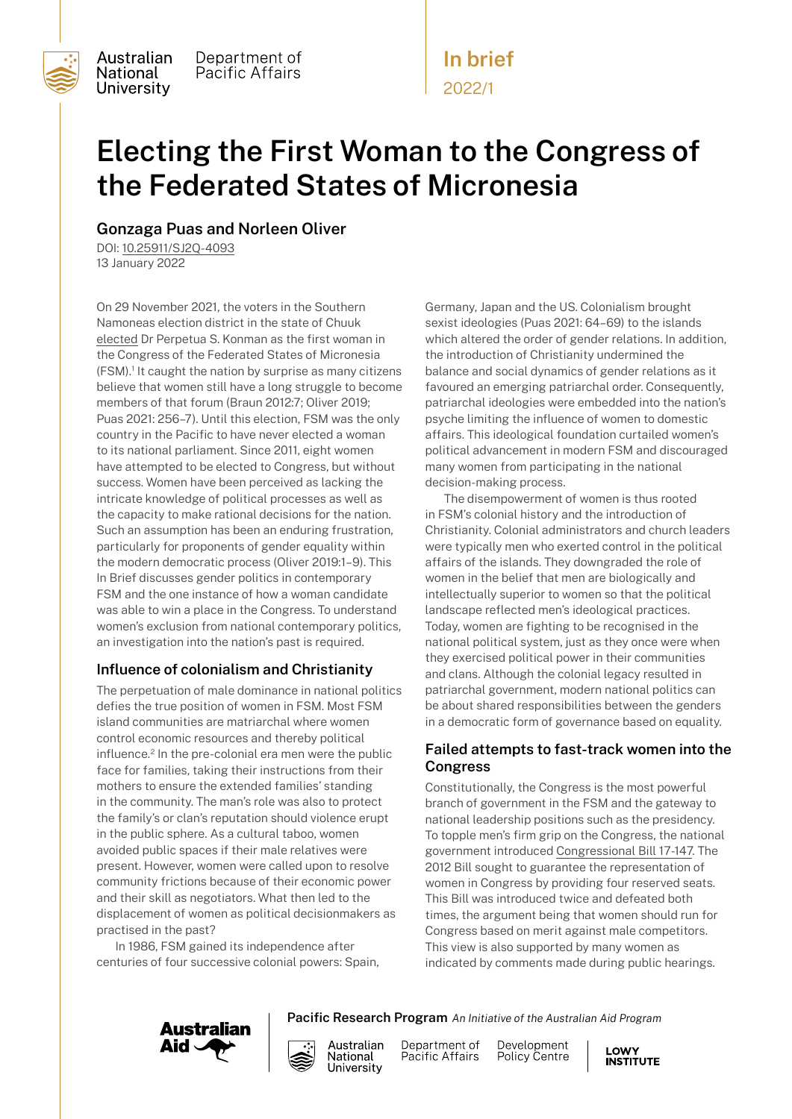

**National** 

Australian Department of Pacific Affairs University

# **Electing the First Woman to the Congress of the Federated States of Micronesia**

**In brief**

2022/1

## **Gonzaga Puas and Norleen Oliver**

DOI: [10.25911/SJ2Q-4093](https://openresearch-repository.anu.edu.au/handle/1885/258398#:~:text=DOI%3A%C2%A0-,10.25911/SJ2Q%2D4093,-Access%20Rights%3A%C2%A0) 13 January 2022

On 29 November 2021, the voters in the Southern Namoneas election district in the state of Chuuk [elected](https://fsmembassy.fm/dr-perpetua-s-konman-declared-official-certified-winner-of-the-fsm-special-election/) Dr Perpetua S. Konman as the first woman in the Congress of the Federated States of Micronesia (FSM).1 It caught the nation by surprise as many citizens believe that women still have a long struggle to become members of that forum (Braun 2012:7; Oliver 2019; Puas 2021: 256–7). Until this election, FSM was the only country in the Pacific to have never elected a woman to its national parliament. Since 2011, eight women have attempted to be elected to Congress, but without success. Women have been perceived as lacking the intricate knowledge of political processes as well as the capacity to make rational decisions for the nation. Such an assumption has been an enduring frustration, particularly for proponents of gender equality within the modern democratic process (Oliver 2019:1–9). This In Brief discusses gender politics in contemporary FSM and the one instance of how a woman candidate was able to win a place in the Congress. To understand women's exclusion from national contemporary politics, an investigation into the nation's past is required.

## **Influence of colonialism and Christianity**

The perpetuation of male dominance in national politics defies the true position of women in FSM. Most FSM island communities are matriarchal where women control economic resources and thereby political influence.2 In the pre-colonial era men were the public face for families, taking their instructions from their mothers to ensure the extended families' standing in the community. The man's role was also to protect the family's or clan's reputation should violence erupt in the public sphere. As a cultural taboo, women avoided public spaces if their male relatives were present. However, women were called upon to resolve community frictions because of their economic power and their skill as negotiators. What then led to the displacement of women as political decisionmakers as practised in the past?

In 1986, FSM gained its independence after centuries of four successive colonial powers: Spain, Germany, Japan and the US. Colonialism brought sexist ideologies (Puas 2021: 64–69) to the islands which altered the order of gender relations. In addition, the introduction of Christianity undermined the balance and social dynamics of gender relations as it favoured an emerging patriarchal order. Consequently, patriarchal ideologies were embedded into the nation's psyche limiting the influence of women to domestic affairs. This ideological foundation curtailed women's political advancement in modern FSM and discouraged many women from participating in the national decision-making process.

The disempowerment of women is thus rooted in FSM's colonial history and the introduction of Christianity. Colonial administrators and church leaders were typically men who exerted control in the political affairs of the islands. They downgraded the role of women in the belief that men are biologically and intellectually superior to women so that the political landscape reflected men's ideological practices. Today, women are fighting to be recognised in the national political system, just as they once were when they exercised political power in their communities and clans. Although the colonial legacy resulted in patriarchal government, modern national politics can be about shared responsibilities between the genders in a democratic form of governance based on equality.

## **Failed attempts to fast-track women into the Congress**

Constitutionally, the Congress is the most powerful branch of government in the FSM and the gateway to national leadership positions such as the presidency. To topple men's firm grip on the Congress, the national government introduced [Congressional Bill 17-147](https://www.cfsm.gov.fm/ifile/17th%20Congress/Bills/CB%2017-147.pdf). The 2012 Bill sought to guarantee the representation of women in Congress by providing four reserved seats. This Bill was introduced twice and defeated both times, the argument being that women should run for Congress based on merit against male competitors. This view is also supported by many women as indicated by comments made during public hearings.





Department of Pacific Affairs

**Pacific Research Program** *An Initiative of the Australian Aid Program*

Development Policy Centre

**LOWY INSTITUTE**